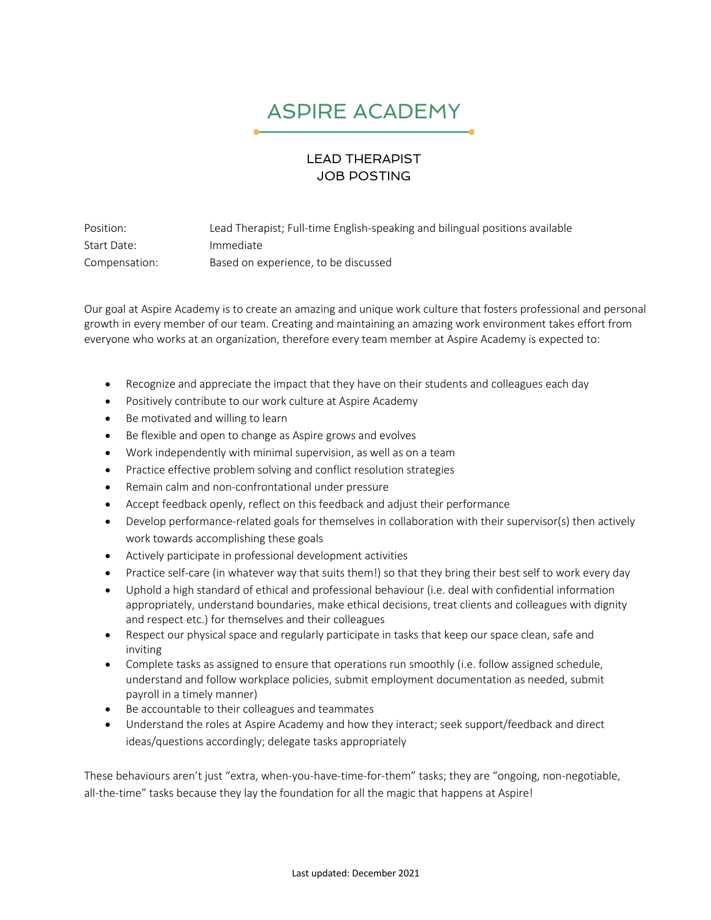## ASPIRE ACADEMY

## LEAD THERAPIST JOB POSTING

Position: Lead Therapist; Full-time English-speaking and bilingual positions available Start Date: Immediate Compensation: Based on experience, to be discussed

Our goal at Aspire Academy is to create an amazing and unique work culture that fosters professional and personal growth in every member of our team. Creating and maintaining an amazing work environment takes effort from everyone who works at an organization, therefore every team member at Aspire Academy is expected to:

- Recognize and appreciate the impact that they have on their students and colleagues each day
- Positively contribute to our work culture at Aspire Academy
- Be motivated and willing to learn
- Be flexible and open to change as Aspire grows and evolves
- Work independently with minimal supervision, as well as on a team
- Practice effective problem solving and conflict resolution strategies
- Remain calm and non-confrontational under pressure
- Accept feedback openly, reflect on this feedback and adjust their performance
- Develop performance-related goals for themselves in collaboration with their supervisor(s) then actively work towards accomplishing these goals
- Actively participate in professional development activities
- Practice self-care (in whatever way that suits them!) so that they bring their best self to work every day
- Uphold a high standard of ethical and professional behaviour (i.e. deal with confidential information appropriately, understand boundaries, make ethical decisions, treat clients and colleagues with dignity and respect etc.) for themselves and their colleagues
- Respect our physical space and regularly participate in tasks that keep our space clean, safe and inviting
- Complete tasks as assigned to ensure that operations run smoothly (i.e. follow assigned schedule, understand and follow workplace policies, submit employment documentation as needed, submit payroll in a timely manner)
- Be accountable to their colleagues and teammates
- Understand the roles at Aspire Academy and how they interact; seek support/feedback and direct ideas/questions accordingly; delegate tasks appropriately

These behaviours aren't just "extra, when-you-have-time-for-them" tasks; they are "ongoing, non-negotiable, all-the-time" tasks because they lay the foundation for all the magic that happens at Aspire!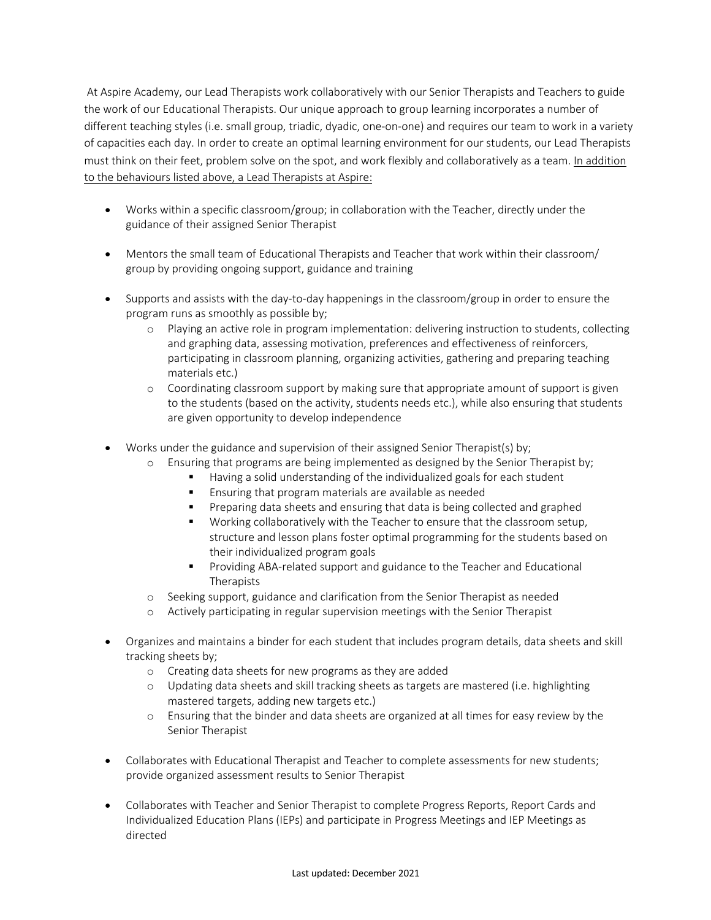At Aspire Academy, our Lead Therapists work collaboratively with our Senior Therapists and Teachers to guide the work of our Educational Therapists. Our unique approach to group learning incorporates a number of different teaching styles (i.e. small group, triadic, dyadic, one-on-one) and requires our team to work in a variety of capacities each day. In order to create an optimal learning environment for our students, our Lead Therapists must think on their feet, problem solve on the spot, and work flexibly and collaboratively as a team. In addition to the behaviours listed above, a Lead Therapists at Aspire:

- Works within a specific classroom/group; in collaboration with the Teacher, directly under the guidance of their assigned Senior Therapist
- Mentors the small team of Educational Therapists and Teacher that work within their classroom/ group by providing ongoing support, guidance and training
- Supports and assists with the day-to-day happenings in the classroom/group in order to ensure the program runs as smoothly as possible by;
	- o Playing an active role in program implementation: delivering instruction to students, collecting and graphing data, assessing motivation, preferences and effectiveness of reinforcers, participating in classroom planning, organizing activities, gathering and preparing teaching materials etc.)
	- o Coordinating classroom support by making sure that appropriate amount of support is given to the students (based on the activity, students needs etc.), while also ensuring that students are given opportunity to develop independence
- Works under the guidance and supervision of their assigned Senior Therapist(s) by;
	- o Ensuring that programs are being implemented as designed by the Senior Therapist by;
		- § Having a solid understanding of the individualized goals for each student
		- **Ensuring that program materials are available as needed**
		- Preparing data sheets and ensuring that data is being collected and graphed
		- § Working collaboratively with the Teacher to ensure that the classroom setup, structure and lesson plans foster optimal programming for the students based on their individualized program goals
		- § Providing ABA-related support and guidance to the Teacher and Educational **Therapists**
	- o Seeking support, guidance and clarification from the Senior Therapist as needed
	- o Actively participating in regular supervision meetings with the Senior Therapist
- Organizes and maintains a binder for each student that includes program details, data sheets and skill tracking sheets by;
	- o Creating data sheets for new programs as they are added
	- o Updating data sheets and skill tracking sheets as targets are mastered (i.e. highlighting mastered targets, adding new targets etc.)
	- o Ensuring that the binder and data sheets are organized at all times for easy review by the Senior Therapist
- Collaborates with Educational Therapist and Teacher to complete assessments for new students; provide organized assessment results to Senior Therapist
- Collaborates with Teacher and Senior Therapist to complete Progress Reports, Report Cards and Individualized Education Plans (IEPs) and participate in Progress Meetings and IEP Meetings as directed